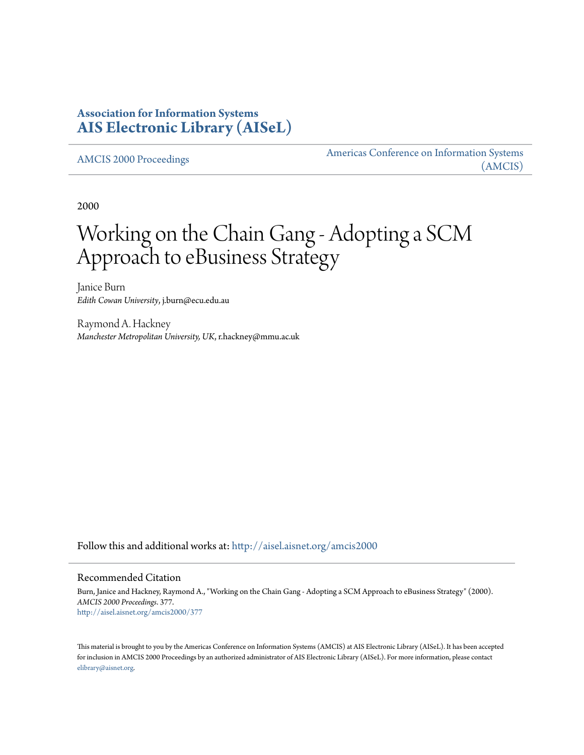## **Association for Information Systems [AIS Electronic Library \(AISeL\)](http://aisel.aisnet.org?utm_source=aisel.aisnet.org%2Famcis2000%2F377&utm_medium=PDF&utm_campaign=PDFCoverPages)**

[AMCIS 2000 Proceedings](http://aisel.aisnet.org/amcis2000?utm_source=aisel.aisnet.org%2Famcis2000%2F377&utm_medium=PDF&utm_campaign=PDFCoverPages)

[Americas Conference on Information Systems](http://aisel.aisnet.org/amcis?utm_source=aisel.aisnet.org%2Famcis2000%2F377&utm_medium=PDF&utm_campaign=PDFCoverPages) [\(AMCIS\)](http://aisel.aisnet.org/amcis?utm_source=aisel.aisnet.org%2Famcis2000%2F377&utm_medium=PDF&utm_campaign=PDFCoverPages)

2000

# Working on the Chain Gang - Adopting a SCM Approach to eBusiness Strategy

Janice Burn *Edith Cowan University*, j.burn@ecu.edu.au

Raymond A. Hackney *Manchester Metropolitan University, UK*, r.hackney@mmu.ac.uk

Follow this and additional works at: [http://aisel.aisnet.org/amcis2000](http://aisel.aisnet.org/amcis2000?utm_source=aisel.aisnet.org%2Famcis2000%2F377&utm_medium=PDF&utm_campaign=PDFCoverPages)

#### Recommended Citation

Burn, Janice and Hackney, Raymond A., "Working on the Chain Gang - Adopting a SCM Approach to eBusiness Strategy" (2000). *AMCIS 2000 Proceedings*. 377. [http://aisel.aisnet.org/amcis2000/377](http://aisel.aisnet.org/amcis2000/377?utm_source=aisel.aisnet.org%2Famcis2000%2F377&utm_medium=PDF&utm_campaign=PDFCoverPages)

This material is brought to you by the Americas Conference on Information Systems (AMCIS) at AIS Electronic Library (AISeL). It has been accepted for inclusion in AMCIS 2000 Proceedings by an authorized administrator of AIS Electronic Library (AISeL). For more information, please contact [elibrary@aisnet.org.](mailto:elibrary@aisnet.org%3E)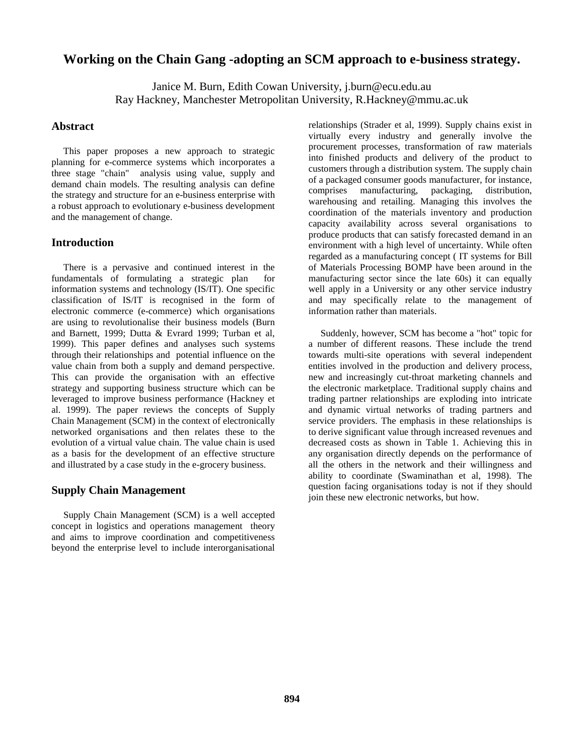## **Working on the Chain Gang -adopting an SCM approach to e-business strategy.**

Janice M. Burn, Edith Cowan University, j.burn@ecu.edu.au Ray Hackney, Manchester Metropolitan University, R.Hackney@mmu.ac.uk

## **Abstract**

 This paper proposes a new approach to strategic planning for e-commerce systems which incorporates a three stage "chain" analysis using value, supply and demand chain models. The resulting analysis can define the strategy and structure for an e-business enterprise with a robust approach to evolutionary e-business development and the management of change.

## **Introduction**

 There is a pervasive and continued interest in the fundamentals of formulating a strategic plan for information systems and technology (IS/IT). One specific classification of IS/IT is recognised in the form of electronic commerce (e-commerce) which organisations are using to revolutionalise their business models (Burn and Barnett, 1999; Dutta & Evrard 1999; Turban et al, 1999). This paper defines and analyses such systems through their relationships and potential influence on the value chain from both a supply and demand perspective. This can provide the organisation with an effective strategy and supporting business structure which can be leveraged to improve business performance (Hackney et al. 1999). The paper reviews the concepts of Supply Chain Management (SCM) in the context of electronically networked organisations and then relates these to the evolution of a virtual value chain. The value chain is used as a basis for the development of an effective structure and illustrated by a case study in the e-grocery business.

## **Supply Chain Management**

 Supply Chain Management (SCM) is a well accepted concept in logistics and operations management theory and aims to improve coordination and competitiveness beyond the enterprise level to include interorganisational relationships (Strader et al, 1999). Supply chains exist in virtually every industry and generally involve the procurement processes, transformation of raw materials into finished products and delivery of the product to customers through a distribution system. The supply chain of a packaged consumer goods manufacturer, for instance, comprises manufacturing, packaging, distribution, warehousing and retailing. Managing this involves the coordination of the materials inventory and production capacity availability across several organisations to produce products that can satisfy forecasted demand in an environment with a high level of uncertainty. While often regarded as a manufacturing concept ( IT systems for Bill of Materials Processing BOMP have been around in the manufacturing sector since the late 60s) it can equally well apply in a University or any other service industry and may specifically relate to the management of information rather than materials.

 Suddenly, however, SCM has become a "hot" topic for a number of different reasons. These include the trend towards multi-site operations with several independent entities involved in the production and delivery process, new and increasingly cut-throat marketing channels and the electronic marketplace. Traditional supply chains and trading partner relationships are exploding into intricate and dynamic virtual networks of trading partners and service providers. The emphasis in these relationships is to derive significant value through increased revenues and decreased costs as shown in Table 1. Achieving this in any organisation directly depends on the performance of all the others in the network and their willingness and ability to coordinate (Swaminathan et al, 1998). The question facing organisations today is not if they should join these new electronic networks, but how.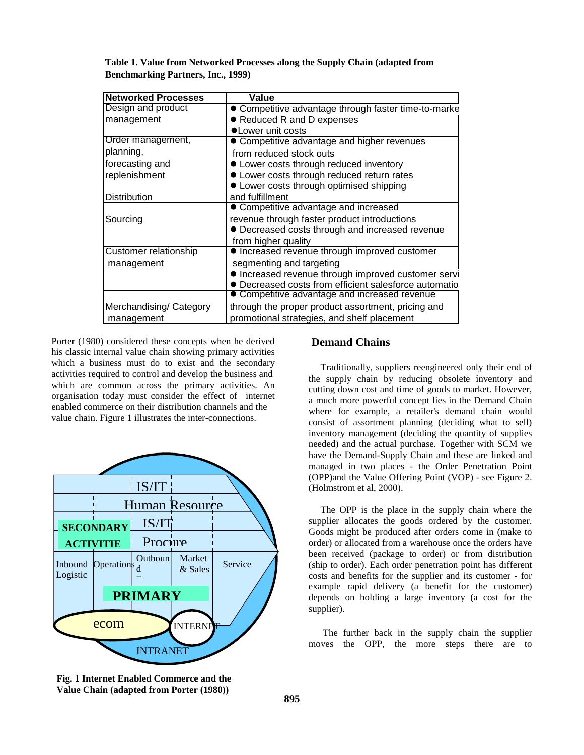**Table 1. Value from Networked Processes along the Supply Chain (adapted from Benchmarking Partners, Inc., 1999)**

| <b>Networked Processes</b> | Value                                                |
|----------------------------|------------------------------------------------------|
| Design and product         | • Competitive advantage through faster time-to-marke |
| management                 | Reduced R and D expenses                             |
|                            | ● Lower unit costs                                   |
| Order management,          | Competitive advantage and higher revenues            |
| planning,                  | from reduced stock outs                              |
| forecasting and            | <b>• Lower costs through reduced inventory</b>       |
| replenishment              | <b>Lower costs through reduced return rates</b>      |
|                            | • Lower costs through optimised shipping             |
| <b>Distribution</b>        | and fulfillment                                      |
|                            | $\bullet$ Competitive advantage and increased        |
| Sourcing                   | revenue through faster product introductions         |
|                            | • Decreased costs through and increased revenue      |
|                            | from higher quality                                  |
| Customer relationship      | Increased revenue through improved customer          |
| management                 | segmenting and targeting                             |
|                            | Increased revenue through improved customer servi    |
|                            | Decreased costs from efficient salesforce automatio  |
|                            | Competitive advantage and increased revenue          |
| Merchandising/ Category    | through the proper product assortment, pricing and   |
| management                 | promotional strategies, and shelf placement          |

Porter (1980) considered these concepts when he derived his classic internal value chain showing primary activities which a business must do to exist and the secondary activities required to control and develop the business and which are common across the primary activities. An organisation today must consider the effect of internet enabled commerce on their distribution channels and the value chain. Figure 1 illustrates the inter-connections.



## **Demand Chains**

 Traditionally, suppliers reengineered only their end of the supply chain by reducing obsolete inventory and cutting down cost and time of goods to market. However, a much more powerful concept lies in the Demand Chain where for example, a retailer's demand chain would consist of assortment planning (deciding what to sell) inventory management (deciding the quantity of supplies needed) and the actual purchase. Together with SCM we have the Demand-Supply Chain and these are linked and managed in two places - the Order Penetration Point (OPP)and the Value Offering Point (VOP) - see Figure 2. (Holmstrom et al, 2000).

 The OPP is the place in the supply chain where the supplier allocates the goods ordered by the customer. Goods might be produced after orders come in (make to order) or allocated from a warehouse once the orders have been received (package to order) or from distribution (ship to order). Each order penetration point has different costs and benefits for the supplier and its customer - for example rapid delivery (a benefit for the customer) depends on holding a large inventory (a cost for the supplier).

The further back in the supply chain the supplier moves the OPP, the more steps there are to

**Fig. 1 Internet Enabled Commerce and the Value Chain (adapted from Porter (1980))**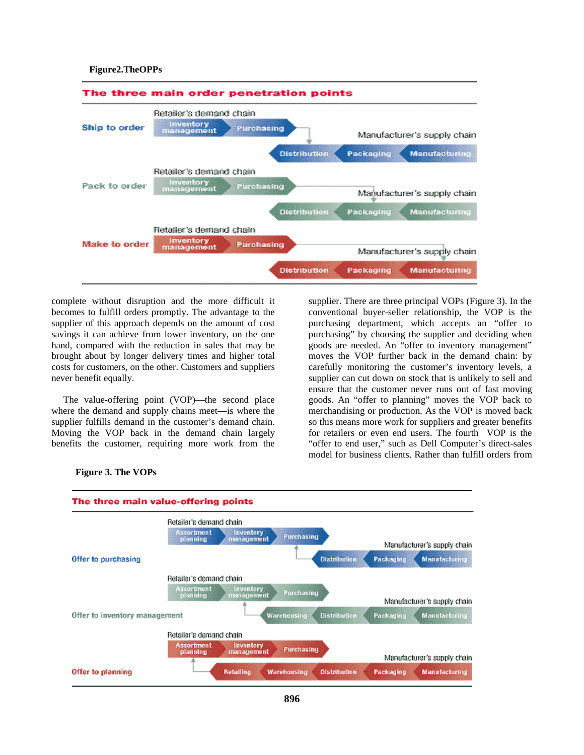#### **Figure2.TheOPPs**



complete without disruption and the more difficult it becomes to fulfill orders promptly. The advantage to the supplier of this approach depends on the amount of cost savings it can achieve from lower inventory, on the one hand, compared with the reduction in sales that may be brought about by longer delivery times and higher total costs for customers, on the other. Customers and suppliers never benefit equally.

 The value-offering point (VOP)—the second place where the demand and supply chains meet—is where the supplier fulfills demand in the customer's demand chain. Moving the VOP back in the demand chain largely benefits the customer, requiring more work from the

supplier. There are three principal VOPs (Figure 3). In the conventional buyer-seller relationship, the VOP is the purchasing department, which accepts an "offer to purchasing" by choosing the supplier and deciding when goods are needed. An "offer to inventory management" moves the VOP further back in the demand chain: by carefully monitoring the customer's inventory levels, a supplier can cut down on stock that is unlikely to sell and ensure that the customer never runs out of fast moving goods. An "offer to planning" moves the VOP back to merchandising or production. As the VOP is moved back so this means more work for suppliers and greater benefits for retailers or even end users. The fourth VOP is the "offer to end user," such as Dell Computer's direct-sales model for business clients. Rather than fulfill orders from



## **Figure 3. The VOPs**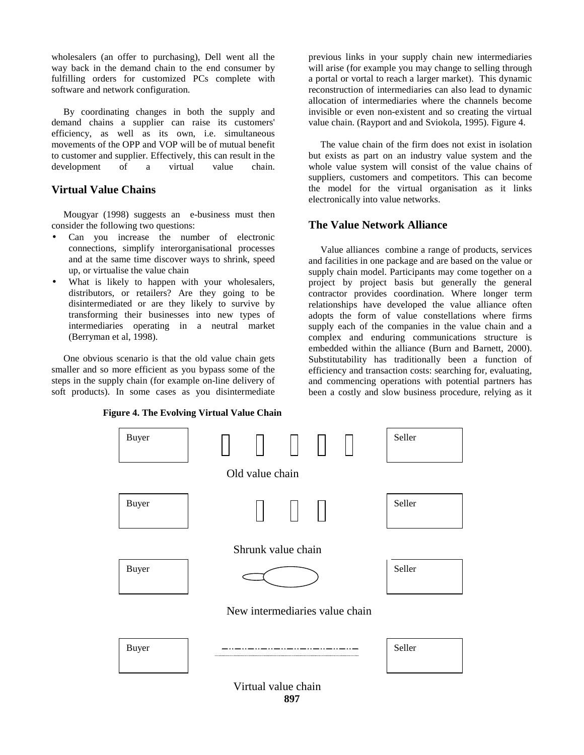wholesalers (an offer to purchasing), Dell went all the way back in the demand chain to the end consumer by fulfilling orders for customized PCs complete with software and network configuration.

 By coordinating changes in both the supply and demand chains a supplier can raise its customers' efficiency, as well as its own, i.e. simultaneous movements of the OPP and VOP will be of mutual benefit to customer and supplier. Effectively, this can result in the development of a virtual value chain.

## **Virtual Value Chains**

 Mougyar (1998) suggests an e-business must then consider the following two questions:

- Can you increase the number of electronic connections, simplify interorganisational processes and at the same time discover ways to shrink, speed up, or virtualise the value chain
- What is likely to happen with your wholesalers, distributors, or retailers? Are they going to be disintermediated or are they likely to survive by transforming their businesses into new types of intermediaries operating in a neutral market (Berryman et al, 1998).

 One obvious scenario is that the old value chain gets smaller and so more efficient as you bypass some of the steps in the supply chain (for example on-line delivery of soft products). In some cases as you disintermediate previous links in your supply chain new intermediaries will arise (for example you may change to selling through a portal or vortal to reach a larger market). This dynamic reconstruction of intermediaries can also lead to dynamic allocation of intermediaries where the channels become invisible or even non-existent and so creating the virtual value chain. (Rayport and and Sviokola, 1995). Figure 4.

 The value chain of the firm does not exist in isolation but exists as part on an industry value system and the whole value system will consist of the value chains of suppliers, customers and competitors. This can become the model for the virtual organisation as it links electronically into value networks.

## **The Value Network Alliance**

 Value alliances combine a range of products, services and facilities in one package and are based on the value or supply chain model. Participants may come together on a project by project basis but generally the general contractor provides coordination. Where longer term relationships have developed the value alliance often adopts the form of value constellations where firms supply each of the companies in the value chain and a complex and enduring communications structure is embedded within the alliance (Burn and Barnett, 2000). Substitutability has traditionally been a function of efficiency and transaction costs: searching for, evaluating, and commencing operations with potential partners has been a costly and slow business procedure, relying as it



#### **Figure 4. The Evolving Virtual Value Chain**

**<sup>897</sup>**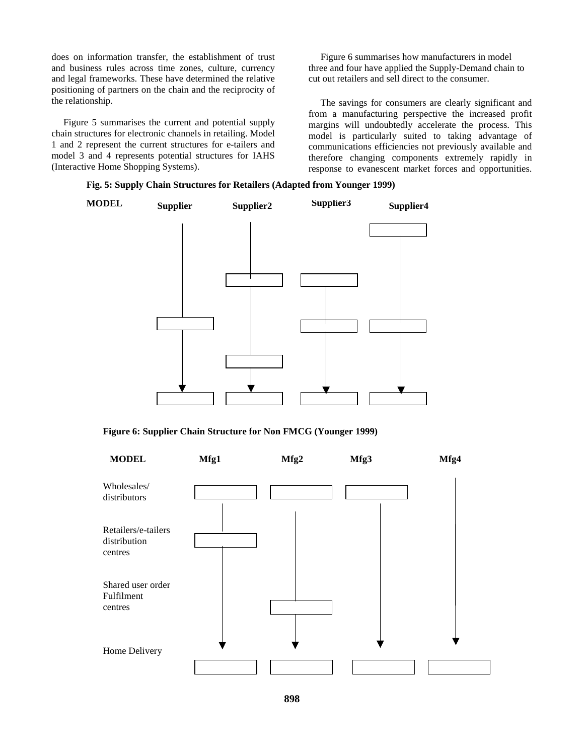does on information transfer, the establishment of trust and business rules across time zones, culture, currency and legal frameworks. These have determined the relative positioning of partners on the chain and the reciprocity of the relationship.

 Figure 5 summarises the current and potential supply chain structures for electronic channels in retailing. Model 1 and 2 represent the current structures for e-tailers and model 3 and 4 represents potential structures for IAHS (Interactive Home Shopping Systems).

 Figure 6 summarises how manufacturers in model three and four have applied the Supply-Demand chain to cut out retailers and sell direct to the consumer.

 The savings for consumers are clearly significant and from a manufacturing perspective the increased profit margins will undoubtedly accelerate the process. This model is particularly suited to taking advantage of communications efficiencies not previously available and therefore changing components extremely rapidly in response to evanescent market forces and opportunities.

**Fig. 5: Supply Chain Structures for Retailers (Adapted from Younger 1999)**



**Figure 6: Supplier Chain Structure for Non FMCG (Younger 1999)**

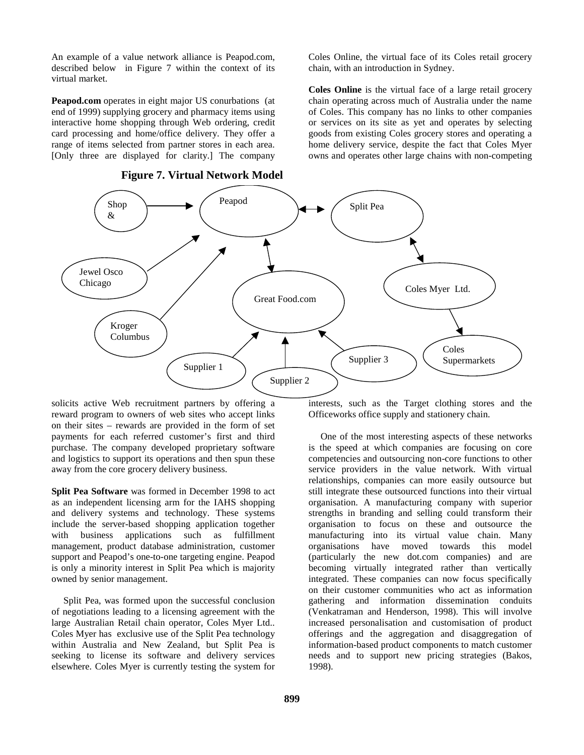An example of a value network alliance is Peapod.com, described below in Figure 7 within the context of its virtual market.

**Peapod.com** operates in eight major US conurbations (at end of 1999) supplying grocery and pharmacy items using interactive home shopping through Web ordering, credit card processing and home/office delivery. They offer a range of items selected from partner stores in each area. [Only three are displayed for clarity.] The company





Coles Online, the virtual face of its Coles retail grocery chain, with an introduction in Sydney.

**Coles Online** is the virtual face of a large retail grocery chain operating across much of Australia under the name of Coles. This company has no links to other companies or services on its site as yet and operates by selecting goods from existing Coles grocery stores and operating a home delivery service, despite the fact that Coles Myer owns and operates other large chains with non-competing

solicits active Web recruitment partners by offering a reward program to owners of web sites who accept links on their sites – rewards are provided in the form of set payments for each referred customer's first and third purchase. The company developed proprietary software and logistics to support its operations and then spun these away from the core grocery delivery business.

**Split Pea Software** was formed in December 1998 to act as an independent licensing arm for the IAHS shopping and delivery systems and technology. These systems include the server-based shopping application together with business applications such as fulfillment management, product database administration, customer support and Peapod's one-to-one targeting engine. Peapod is only a minority interest in Split Pea which is majority owned by senior management.

 Split Pea, was formed upon the successful conclusion of negotiations leading to a licensing agreement with the large Australian Retail chain operator, Coles Myer Ltd.. Coles Myer has exclusive use of the Split Pea technology within Australia and New Zealand, but Split Pea is seeking to license its software and delivery services elsewhere. Coles Myer is currently testing the system for

interests, such as the Target clothing stores and the Officeworks office supply and stationery chain.

 One of the most interesting aspects of these networks is the speed at which companies are focusing on core competencies and outsourcing non-core functions to other service providers in the value network. With virtual relationships, companies can more easily outsource but still integrate these outsourced functions into their virtual organisation. A manufacturing company with superior strengths in branding and selling could transform their organisation to focus on these and outsource the manufacturing into its virtual value chain. Many organisations have moved towards this model (particularly the new dot.com companies) and are becoming virtually integrated rather than vertically integrated. These companies can now focus specifically on their customer communities who act as information gathering and information dissemination conduits (Venkatraman and Henderson, 1998). This will involve increased personalisation and customisation of product offerings and the aggregation and disaggregation of information-based product components to match customer needs and to support new pricing strategies (Bakos, 1998).